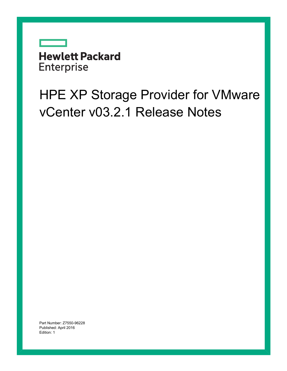

# HPE XP Storage Provider for VMware vCenter v03.2.1 Release Notes

Part Number: Z7550-96228 Published: April 2016 Edition: 1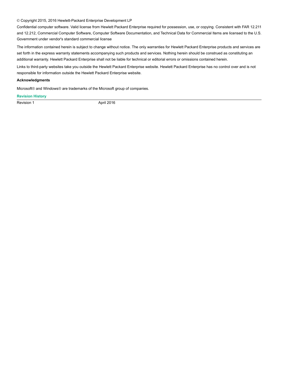#### © Copyright 2015, 2016 Hewlett-Packard Enterprise Development LP

Confidential computer software. Valid license from Hewlett Packard Enterprise required for possession, use, or copying. Consistent with FAR 12.211 and 12.212, Commercial Computer Software, Computer Software Documentation, and Technical Data for Commercial Items are licensed to the U.S. Government under vendor's standard commercial license

The information contained herein is subject to change without notice. The only warranties for Hewlett Packard Enterprise products and services are set forth in the express warranty statements accompanying such products and services. Nothing herein should be construed as constituting an additional warranty. Hewlett Packard Enterprise shall not be liable for technical or editorial errors or omissions contained herein.

Links to third-party websites take you outside the Hewlett Packard Enterprise website. Hewlett Packard Enterprise has no control over and is not responsible for information outside the Hewlett Packard Enterprise website.

#### **Acknowledgments**

Microsoft® and Windows® are trademarks of the Microsoft group of companies.

#### **Revision History**

Revision 1 April 2016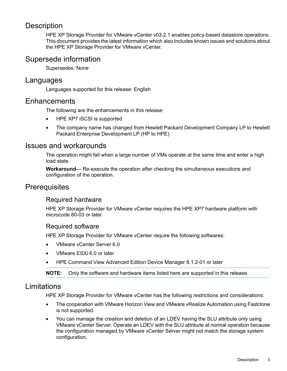# **Description**

HPE XP Storage Provider for VMware vCenter v03.2.1 enables policy-based datastore operations. This document provides the latest information which also includes known issues and solutions about the HPE XP Storage Provider for VMware vCenter.

# Supersede information

Supersedes: None

## Languages

Languages supported for this release: English

### Enhancements

The following are the enhancements in this release:

- HPE XP7 iSCSI is supported
- The company name has changed from Hewlett Packard Development Company LP to Hewlett Packard Enterprise Development LP (HP to HPE)

## Issues and workarounds

The operation might fail when a large number of VMs operate at the same time and enter a high load state.

**Workaround**— Re-execute the operation after checking the simultaneous executions and configuration of the operation.

# **Prerequisites**

#### Required hardware

HPE XP Storage Provider for VMware vCenter requires the HPE XP7 hardware platform with microcode 80-03 or later.

#### Required software

HPE XP Storage Provider for VMware vCenter require the following softwares:

- VMware vCenter Server 6.0
- VMware ESXi 6.0 or later
- HPE Command View Advanced Edition Device Manager 8.1.2-01 or later

**NOTE:** Only the software and hardware items listed here are supported in this release.

# Limitations

HPE XP Storage Provider for VMware vCenter has the following restrictions and considerations:

- The cooperation with VMware Horizon View and VMware vRealize Automation using Fastclone is not supported.
- You can manage the creation and deletion of an LDEV having the SLU attribute only using VMware vCenter Server. Operate an LDEV with the SLU attribute at normal operation because the configuration managed by VMware vCenter Server might not match the storage system configuration.